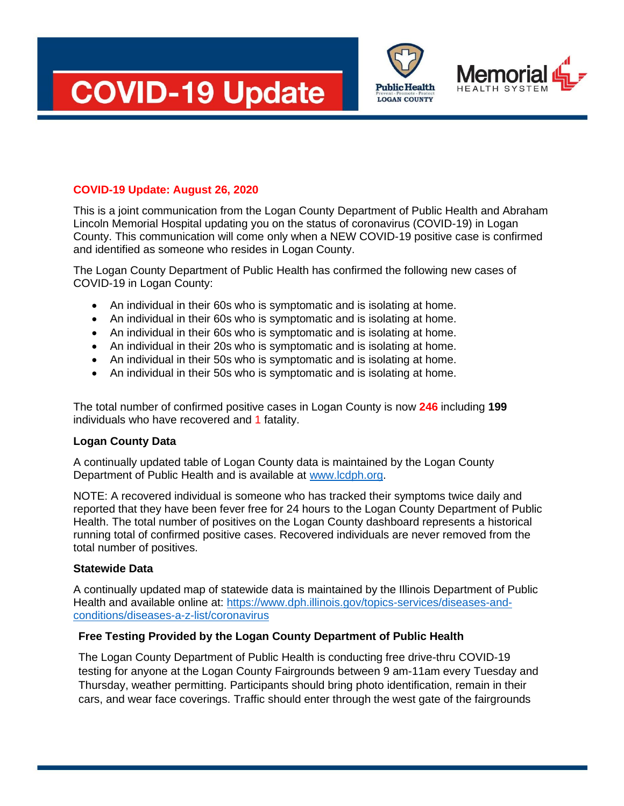



**Public Health LOGAN COUNTY** 

## **COVID-19 Update: August 26, 2020**

This is a joint communication from the Logan County Department of Public Health and Abraham Lincoln Memorial Hospital updating you on the status of coronavirus (COVID-19) in Logan County. This communication will come only when a NEW COVID-19 positive case is confirmed and identified as someone who resides in Logan County.

The Logan County Department of Public Health has confirmed the following new cases of COVID-19 in Logan County:

- An individual in their 60s who is symptomatic and is isolating at home.
- An individual in their 60s who is symptomatic and is isolating at home.
- An individual in their 60s who is symptomatic and is isolating at home.
- An individual in their 20s who is symptomatic and is isolating at home.
- An individual in their 50s who is symptomatic and is isolating at home.
- An individual in their 50s who is symptomatic and is isolating at home.

The total number of confirmed positive cases in Logan County is now **246** including **199** individuals who have recovered and 1 fatality.

#### **Logan County Data**

A continually updated table of Logan County data is maintained by the Logan County Department of Public Health and is available at [www.lcdph.org.](http://www.lcdph.org/)

NOTE: A recovered individual is someone who has tracked their symptoms twice daily and reported that they have been fever free for 24 hours to the Logan County Department of Public Health. The total number of positives on the Logan County dashboard represents a historical running total of confirmed positive cases. Recovered individuals are never removed from the total number of positives.

#### **Statewide Data**

A continually updated map of statewide data is maintained by the Illinois Department of Public Health and available online at: [https://www.dph.illinois.gov/topics-services/diseases-and](https://www.dph.illinois.gov/topics-services/diseases-and-conditions/diseases-a-z-list/coronavirus)[conditions/diseases-a-z-list/coronavirus](https://www.dph.illinois.gov/topics-services/diseases-and-conditions/diseases-a-z-list/coronavirus)

## **Free Testing Provided by the Logan County Department of Public Health**

The Logan County Department of Public Health is conducting free drive-thru COVID-19 testing for anyone at the Logan County Fairgrounds between 9 am-11am every Tuesday and Thursday, weather permitting. Participants should bring photo identification, remain in their cars, and wear face coverings. Traffic should enter through the west gate of the fairgrounds